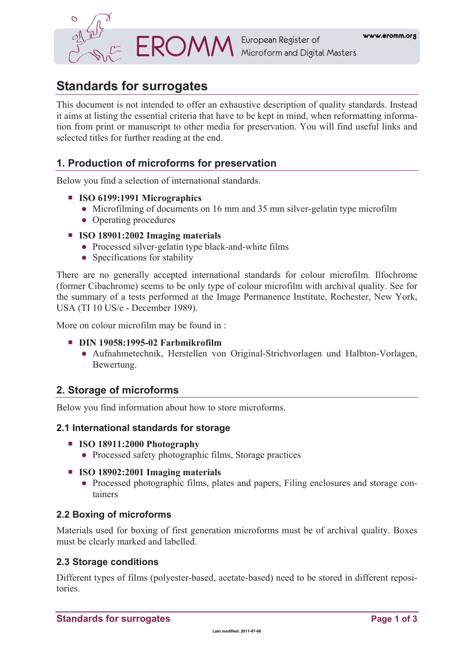

# **Standards for surrogates**

This document is not intended to offer an exhaustive description of quality standards. Instead it aims at listing the essential criteria that have to be kept in mind, when reformatting information from print or manuscript to other media for preservation. You will find useful links and selected titles for further reading at the end.

## **1. Production of microforms for preservation**

Below you find a selection of international standards.

- **ISO 6199:1991 Micrographics** 
	- Microfilming of documents on 16 mm and 35 mm silver-gelatin type microfilm
	- Operating procedures
- **ISO 18901:2002 Imaging materials** 
	- Processed silver-gelatin type black-and-white films
	- Specifications for stability

There are no generally accepted international standards for colour microfilm. Ilfochrome (former Cibachrome) seems to be only type of colour microfilm with archival quality. See for the summary of a tests performed at the Image Permanence Institute, Rochester, New York, USA (TI 10 US/e - December 1989).

More on colour microfilm may be found in :

- **DIN 19058:1995-02 Farbmikrofilm** 
	- Aufnahmetechnik, Herstellen von Original-Strichvorlagen und Halbton-Vorlagen, Bewertung.

#### **2. Storage of microforms**

Below you find information about how to store microforms.

#### **2.1 International standards for storage**

- **ISO 18911:2000 Photography** 
	- Processed safety photographic films, Storage practices
- **ISO 18902:2001 Imaging materials** 
	- Processed photographic films, plates and papers, Filing enclosures and storage containers

#### **2.2 Boxing of microforms**

Materials used for boxing of first generation microforms must be of archival quality. Boxes must be clearly marked and labelled.

#### **2.3 Storage conditions**

Different types of films (polyester-based, acetate-based) need to be stored in different repositories.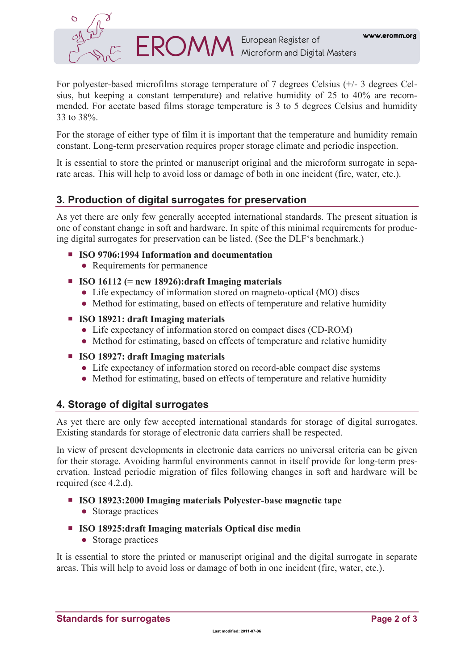

For polyester-based microfilms storage temperature of 7 degrees Celsius (+/- 3 degrees Celsius, but keeping a constant temperature) and relative humidity of 25 to 40% are recommended. For acetate based films storage temperature is 3 to 5 degrees Celsius and humidity 33 to 38%.

For the storage of either type of film it is important that the temperature and humidity remain constant. Long-term preservation requires proper storage climate and periodic inspection.

It is essential to store the printed or manuscript original and the microform surrogate in separate areas. This will help to avoid loss or damage of both in one incident (fire, water, etc.).

#### **3. Production of digital surrogates for preservation**

As yet there are only few generally accepted international standards. The present situation is one of constant change in soft and hardware. In spite of this minimal requirements for producing digital surrogates for preservation can be listed. (See the DLF's benchmark.)

- **ISO 9706:1994 Information and documentation** 
	- Requirements for permanence
- **ISO 16112 (= new 18926):draft Imaging materials** 
	- Life expectancy of information stored on magneto-optical (MO) discs
	- Method for estimating, based on effects of temperature and relative humidity
- **ISO 18921: draft Imaging materials** 
	- Life expectancy of information stored on compact discs (CD-ROM)
	- Method for estimating, based on effects of temperature and relative humidity
- **ISO 18927: draft Imaging materials** 
	- Life expectancy of information stored on record-able compact disc systems
	- Method for estimating, based on effects of temperature and relative humidity

## **4. Storage of digital surrogates**

As yet there are only few accepted international standards for storage of digital surrogates. Existing standards for storage of electronic data carriers shall be respected.

In view of present developments in electronic data carriers no universal criteria can be given for their storage. Avoiding harmful environments cannot in itself provide for long-term preservation. Instead periodic migration of files following changes in soft and hardware will be required (see 4.2.d).

- **ISO 18923:2000 Imaging materials Polyester-base magnetic tape**  ● Storage practices
- **ISO 18925:draft Imaging materials Optical disc media**  • Storage practices

It is essential to store the printed or manuscript original and the digital surrogate in separate areas. This will help to avoid loss or damage of both in one incident (fire, water, etc.).